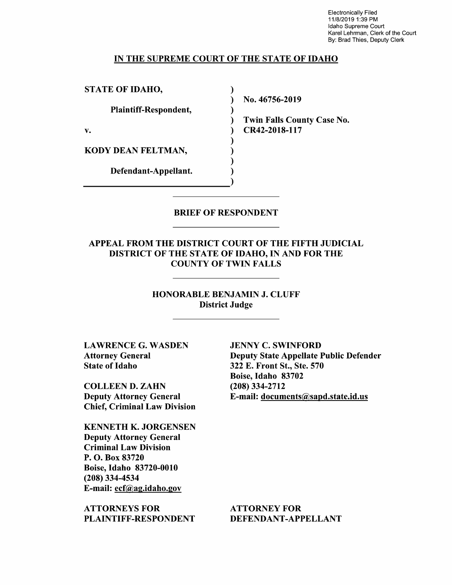Electronically Filed 11/8/2019 1:39 PM Idaho Supreme Court Karel Lehrman, Clerk of the Court By: Brad Thies, Deputy Clerk

#### IN THE SUPREME COURT OF THE STATE OF IDAHO

 $\lambda$ 

STATE OF IDAHO,

Plaintiff—Respondent,

KODY DEAN FELTMAN,

Defendant—Appellant.

N0. 46756-2019

Twin Falls County Case N0. v. (a) CR42-2018-117

#### BRIEF OF RESPONDENT

APPEAL FROM THE DISTRICT COURT OF THE FIFTH JUDICIAL DISTRICT OF THE STATE OF IDAHO, IN AND FOR THE COUNTY OF TWIN FALLS

> HONORABLE BENJAMIN J. CLUFF District Judge

LAWRENCE G. WASDEN Attorney General State 0f Idaho

COLLEEN D. ZAHN Deputy Attorney General Chief, Criminal Law Division

KENNETH K. JORGENSEN Deputy Attorney General Criminal Law Division P. O. Box 83720 Boise, Idaho 83720-0010 (208) 334-4534 E-mail: ecf@ag.idah0.gov

ATTORNEYS FOR PLAINTIFF—RESPONDENT

JENNY C. SWINFORD Deputy State Appellate Public Defender 322 E. Front St., Ste. 570 Boise, Idaho 83702 (208) 334-2712 E-mail: documents@sapd.state.id.us

ATTORNEY FOR DEFENDANT-APPELLANT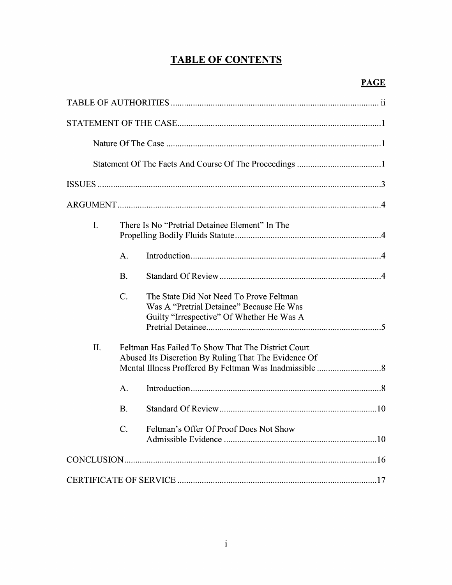# TABLE OF CONTENTS

| I.                                                                                                                |                 | There Is No "Pretrial Detainee Element" In The                                                                                   |
|-------------------------------------------------------------------------------------------------------------------|-----------------|----------------------------------------------------------------------------------------------------------------------------------|
|                                                                                                                   | A.              |                                                                                                                                  |
|                                                                                                                   | <b>B.</b>       |                                                                                                                                  |
|                                                                                                                   | $\mathcal{C}$ . | The State Did Not Need To Prove Feltman<br>Was A "Pretrial Detainee" Because He Was<br>Guilty "Irrespective" Of Whether He Was A |
| II.<br>Feltman Has Failed To Show That The District Court<br>Abused Its Discretion By Ruling That The Evidence Of |                 |                                                                                                                                  |
|                                                                                                                   | A.              |                                                                                                                                  |
|                                                                                                                   | <b>B.</b>       |                                                                                                                                  |
|                                                                                                                   |                 | Feltman's Offer Of Proof Does Not Show                                                                                           |
|                                                                                                                   |                 |                                                                                                                                  |
|                                                                                                                   |                 |                                                                                                                                  |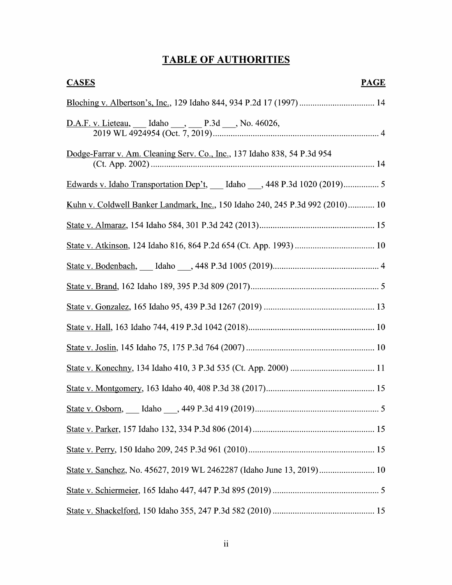# TABLE OF AUTHORITIES

| <b>CASES</b><br><b>PAGE</b>                                                   |
|-------------------------------------------------------------------------------|
|                                                                               |
| D.A.F. v. Lieteau, ___ Idaho ___, ___ P.3d ___, No. 46026,                    |
| Dodge-Farrar v. Am. Cleaning Serv. Co., Inc., 137 Idaho 838, 54 P.3d 954      |
| Edwards v. Idaho Transportation Dep't, __ Idaho __, 448 P.3d 1020 (2019) 5    |
| Kuhn v. Coldwell Banker Landmark, Inc., 150 Idaho 240, 245 P.3d 992 (2010) 10 |
|                                                                               |
|                                                                               |
|                                                                               |
|                                                                               |
|                                                                               |
|                                                                               |
|                                                                               |
|                                                                               |
|                                                                               |
|                                                                               |
|                                                                               |
|                                                                               |
| State v. Sanchez, No. 45627, 2019 WL 2462287 (Idaho June 13, 2019) 10         |
|                                                                               |
|                                                                               |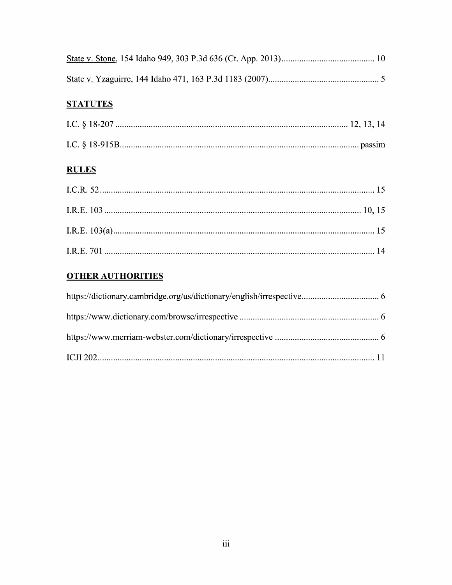# **STATUTES**

# **RULES**

# **OTHER AUTHORITIES**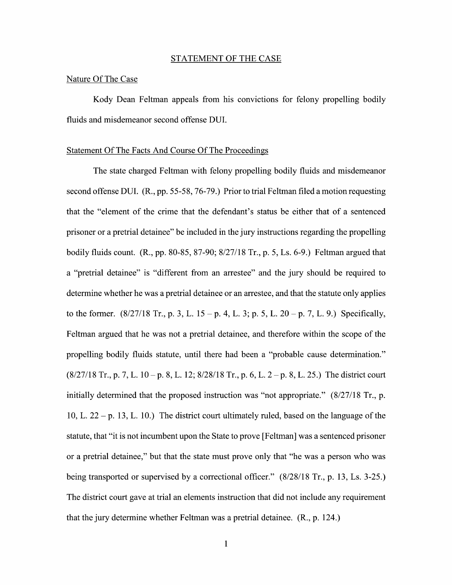#### STATEMENT OF THE CASE

### Nature Of The Case

Kody Dean Feltman appeals from his convictions for felony propelling bodily fluids and misdemeanor second offense DUI.

#### Statement Of The Facts And Course Of The Proceedings

The state charged Feltman with felony propelling bodily fluids and misdemeanor second offense DUI. (R., pp. 55-58, 76-79.) Prior to trial Feltman filed a motion requesting that the "element of the crime that the defendant's status be either that of a sentenced prisoner or a pretrial detainee" be included in the jury instructions regarding the propelling bodily fluids count. (R., pp. 80-85, 87-90; 8/27/18 Tr., p. 5, Ls. 6-9.) Feltman argued that a "pretrial detainee" is "different from an arrestee" and the jury should be required to determine whether he was a pretrial detainee or an arrestee, and that the statute only applies to the former.  $(8/27/18$  Tr., p. 3, L. 15 – p. 4, L. 3; p. 5, L. 20 – p. 7, L. 9.) Specifically, Feltman argued that he was not a pretrial detainee, and therefore within the scope of the propelling bodily fluids statute, until there had been a "probable cause determination."  $(8/27/18$  Tr., p. 7, L. 10 – p. 8, L. 12;  $8/28/18$  Tr., p. 6, L. 2 – p. 8, L. 25.) The district court initially determined that the proposed instruction was "not appropriate." (8/27/18 Tr., p. 10, L.  $22 - p$ . 13, L. 10.) The district court ultimately ruled, based on the language of the statute, that "it is not incumbent upon the State to prove [Feltman] was a sentenced prisoner or a pretrial detainee," but that the state must prove only that "he was a person who was being transported or supervised by a correctional officer."  $(8/28/18$  Tr., p. 13, Ls. 3-25.) The district court gave at trial an elements instruction that did not include any requirement that the jury determine whether Feltman was a pretrial detainee. (R., p. 124.)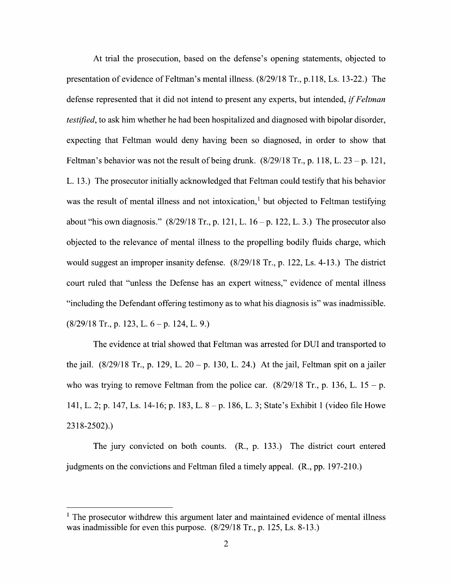At trial the prosecution, based on the defense's opening statements, objected to presentation 0f evidence of Feltman's mental illness. (8/29/18 Tr., p.1 18, Ls. 13-22.) The defense represented that it did not intend to present any experts, but intended, *if Feltman* testified, to ask him whether he had been hospitalized and diagnosed with bipolar disorder, expecting that Feltman would deny having been so diagnosed, in order to show that Feltman's behavior was not the result of being drunk.  $(8/29/18 \text{ Tr.}, p. 118, L. 23 - p. 121,$ L. 13.) The prosecutor initially acknowledged that Feltman could testify that his behavior was the result of mental illness and not intoxication,<sup>1</sup> but objected to Feltman testifying about "his own diagnosis." (8/29/18 Tr., p. 121, L. 16 – p. 122, L. 3.) The prosecutor also<br>objected to the relevance of mental illness to the propelling bodily fluids charge, which would suggest an improper insanity defense. (8/29/18 Tr., p. 122, Ls. 4-13.) The district court ruled that "unless the Defense has an expert Witness," evidence 0f mental illness "including the Defendant offering testimony as t0 what his diagnosis is" was inadmissible.  $(8/29/18$  Tr., p. 123, L. 6 – p. 124, L. 9.)

The evidence at trial showed that Feltman was arrested for DUI and transported to the jail.  $(8/29/18 \text{ Tr.}, p. 129, L. 20 - p. 130, L. 24.)$  At the jail, Feltman spit on a jailer who was trying to remove Feltman from the police car.  $(8/29/18$  Tr., p. 136, L. 15 – p. 141, L. 2; p. 147, Ls. 14-16; p. 183, L. 8 – p. 186, L. 3; State's Exhibit 1 (video file Howe 23 8-2502).)

The jury convicted 0n both counts. (R., p. 133.) The district court entered judgments on the convictions and Feltman filed a timely appeal.  $(R., pp. 197-210.)$ 

 $<sup>1</sup>$  The prosecutor withdrew this argument later and maintained evidence of mental illness</sup> was inadmissible for even this purpose. (8/29/18 Tr., p. 125, Ls. 8-13.)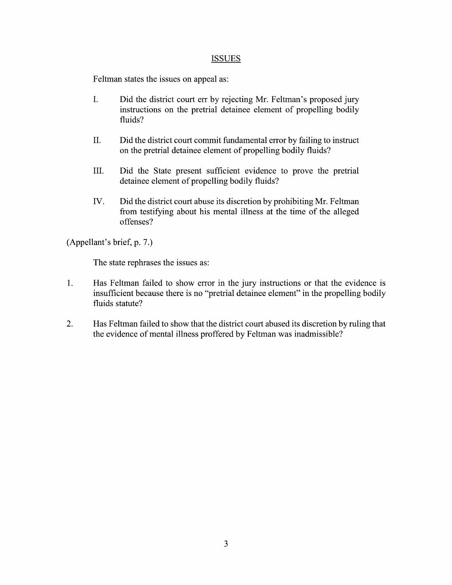### ISSUES

Feltman states the issues on appeal as:

- I. Did the district court err by rejecting Mr. Feltman's proposed jury instructions 0n the pretrial detainee element 0f propelling bodily fluids?
- II. Did the district court commit fundamental error by failing to instruct 0n the pretrial detainee element of propelling bodily fluids?
- III. Did the State present sufficient evidence to prove the pretrial detainee element of propelling bodily fluids?
- IV. Did the district court abuse its discretion by prohibiting Mr. Feltman from testifying about his mental illness at the time of the alleged offenses?

(Appellant's brief, p. 7.)

The state rephrases the issues as:

- 1. Has Feltman failed to show error in the jury instructions 0r that the evidence is insufficient because there is no "pretrial detainee element" in the propelling bodily fluids statute?
- 2. Has Feltman failed to show that the district court abused its discretion by ruling that the evidence of mental illness proffered by Feltman was inadmissible?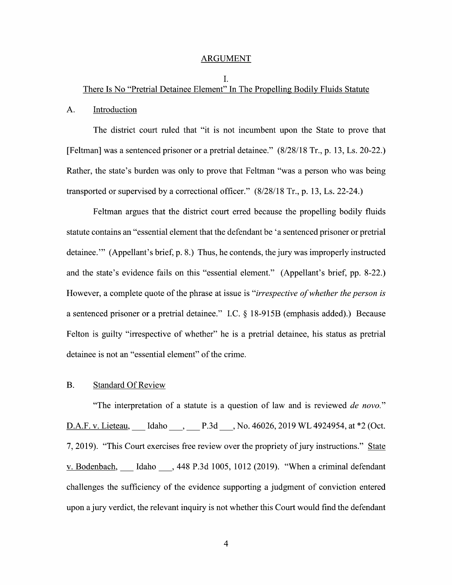#### ARGUMENT

### I. There Is No "Pretrial Detainee Element" In The Propelling Bodily Fluids Statute

#### A. Introduction

The district court ruled that "it is not incumbent upon the State to prove that [Feltman] was a sentenced prisoner or a pretrial detainee." (8/28/18 Tr., p. 13, Ls. 20-22.) Rather, the state's burden was only to prove that Feltman "was a person who was being transported or supervised by a correctional officer." (8/28/18 Tr., p. 13, Ls. 22-24.)

Feltman argues that the district court erred because the propelling bodily fluids statute contains an "essential element that the defendant be 'a sentenced prisoner or pretrial detainee." (Appellant's brief, p. 8.) Thus, he contends, the jury was improperly instructed and the state's evidence fails on this "essential element." (Appellant's brief, pp. 8-22.) However, a complete quote of the phrase at issue is "*irrespective of whether the person is* a sentenced prisoner or a pretrial detainee." I.C.  $\&$  18-915B (emphasis added).) Because Felton is guilty "irrespective of whether" he is a pretrial detainee, his status as pretrial detainee is not an "essential element" 0f the crime.

#### B. Standard Of Review

"The interpretation of a statute is a question of law and is reviewed *de novo*." D.A.F. v. Lieteau, Idaho \_\_\_, \_\_\_ P.3d \_\_\_, No. 46026, 2019 WL 4924954, at \*2 (Oct. 7, 2019). "This Court exercises free review over the propriety of jury instructions." State v. Bodenbach, Idaho , 448 P.3d 1005, 1012 (2019). "When a criminal defendant challenges the sufficiency of the evidence supporting a judgment of conviction entered upon a jury verdict, the relevant inquiry is not whether this Court would find the defendant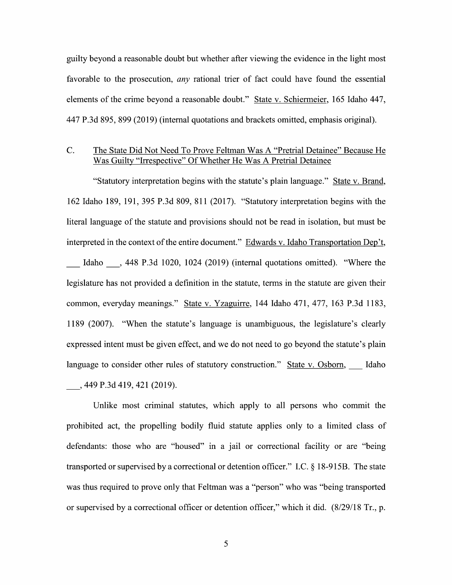guilty beyond a reasonable doubt but whether after viewing the evidence in the light most favorable to the prosecution, *any* rational trier of fact could have found the essential elements of the crime beyond a reasonable doubt." State v. Schiermeier, 165 Idaho 447, 447 P.3d 895, 899 (2019) (internal quotations and brackets omitted, emphasis original).

## C. The State Did Not Need To Prove Feltman Was A "Pretrial Detainee" Because He Was Guilty "Irrespective" Of Whether He Was A Pretrial Detainee

"Statutory interpretation begins with the statute's plain language." State V. Brand, 162 Idaho 189, 191, 395 P.3d 809, 811 (2017). "Statutory interpretation begins With the literal language of the statute and provisions should not be read in isolation, but must be interpreted in the context of the entire document." Edwards v. Idaho Transportation Dep't, Idaho \_, <sup>448</sup> P.3d 1020, <sup>1024</sup> (2019) (internal quotations omitted). "Where the legislature has not provided definition in the statute, terms in the statute are given their common, everyday meanings." State v. Yzaguirre, 144 Idaho 471, 477, 163 P.3d 1183, 1189 (2007). "When the statute's language is unambiguous, the legislature's clearly expressed intent must be given effect, and we do not need to go beyond the statute's plain language to consider other rules of statutory construction." State v. Osborn, Idaho \_, <sup>449</sup> P.3d 419, <sup>421</sup> (2019).

Unlike most criminal statutes, Which apply to all persons Who commit the prohibited act, the propelling bodily fluid statute applies only to a limited class of defendants: those who are "housed" in a jail or correctional facility or are "being" transported or supervised by a correctional or detention officer." I.C.  $\S$  18-915B. The state was thus required to prove only that Feltman was a "person" who was "being transported or supervised by a correctional officer or detention officer," which it did.  $(8/29/18 \text{ Tr.}, \text{p.})$ 

5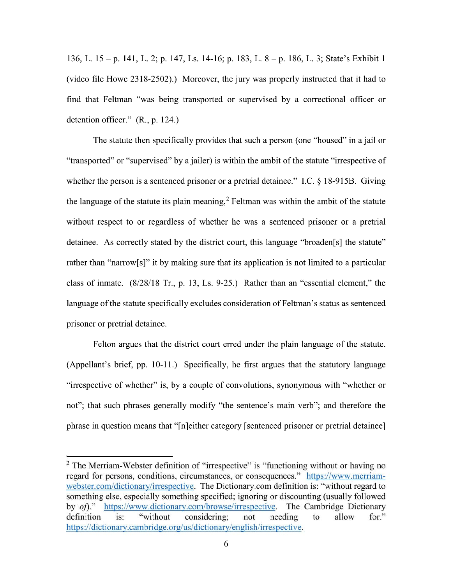136, L.  $15 - p$ . 141, L. 2; p. 147, Ls. 14-16; p. 183, L.  $8 - p$ . 186, L. 3; State's Exhibit 1 (Video file Howe 2318-2502).) Moreover, the jury was properly instructed that it had t0 find that Feltman "was being transported or supervised by a correctional officer or detention officer." (R., p. 124.)

The statute then specifically provides that such a person (one "housed" in a jail or "transported" or "supervised" by a jailer) is within the ambit of the statute "irrespective of whether the person is a sentenced prisoner or a pretrial detainee." I.C.  $\S$  18-915B. Giving the language of the statute its plain meaning,<sup>2</sup> Feltman was within the ambit of the statute without respect to or regardless of whether he was a sentenced prisoner or a pretrial detainee. As correctly stated by the district court, this language "broaden[s] the statute" rather than "narrow[s]" it by making sure that its application is not limited to a particular class of inmate. (8/28/18 Tr., p. 13, Ls. 9—25.) Rather than an "essential element," the language of the statute specifically excludes consideration of Feltman's status as sentenced prisoner or pretrial detainee.

Felton argues that the district court erred under the plain language of the statute. (Appellant's brief, pp. 10-11.) Specifically, he first argues that the statutory language "irrespective of whether" is, by a couple of convolutions, synonymous with "whether or not"; that such phrases generally modify "the sentence's main verb"; and therefore the phrase in question means that "[n]either category [sentenced prisoner or pretrial detainee]

 $2$  The Merriam-Webster definition of "irrespective" is "functioning without or having no regard for persons, conditions, circumstances, or consequences." https://www.merriamwebster.com/dictionarv/irrespective. The Dictionary.com definition is: "without regard to something else, especially something specified; ignoring or discounting (usually followed by *of*)." https://www.dictionary.com/browse/irrespective. The Cambridge Dictionary definition is: "without considering; not needing to allow for." considering; https://dictionarv.cambridge.0rg/us/dictionarv/english/irrespective.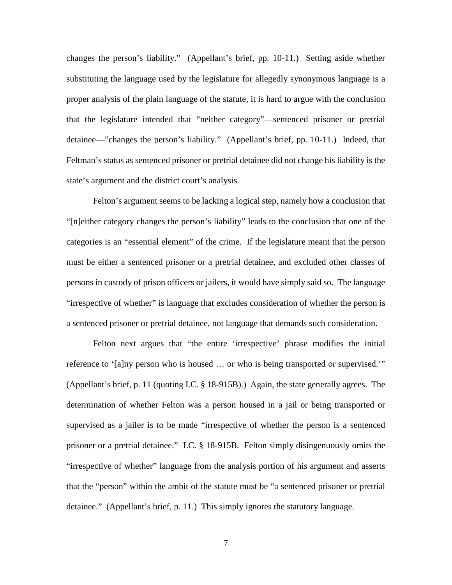changes the person's liability." (Appellant's brief, pp. 10-11.) Setting aside whether substituting the language used by the legislature for allegedly synonymous language is a proper analysis of the plain language of the statute, it is hard to argue with the conclusion that the legislature intended that "neither category"—sentenced prisoner or pretrial detainee—"changes the person's liability." (Appellant's brief, pp. 10-11.) Indeed, that Feltman's status as sentenced prisoner or pretrial detainee did not change his liability is the state's argument and the district court's analysis.

 Felton's argument seems to be lacking a logical step, namely how a conclusion that "[n]either category changes the person's liability" leads to the conclusion that one of the categories is an "essential element" of the crime. If the legislature meant that the person must be either a sentenced prisoner or a pretrial detainee, and excluded other classes of persons in custody of prison officers or jailers, it would have simply said so. The language "irrespective of whether" is language that excludes consideration of whether the person is a sentenced prisoner or pretrial detainee, not language that demands such consideration.

Felton next argues that "the entire 'irrespective' phrase modifies the initial reference to '[a]ny person who is housed … or who is being transported or supervised.'" (Appellant's brief, p. 11 (quoting I.C. § 18-915B).) Again, the state generally agrees. The determination of whether Felton was a person housed in a jail or being transported or supervised as a jailer is to be made "irrespective of whether the person is a sentenced prisoner or a pretrial detainee." I.C. § 18-915B. Felton simply disingenuously omits the "irrespective of whether" language from the analysis portion of his argument and asserts that the "person" within the ambit of the statute must be "a sentenced prisoner or pretrial detainee." (Appellant's brief, p. 11.) This simply ignores the statutory language.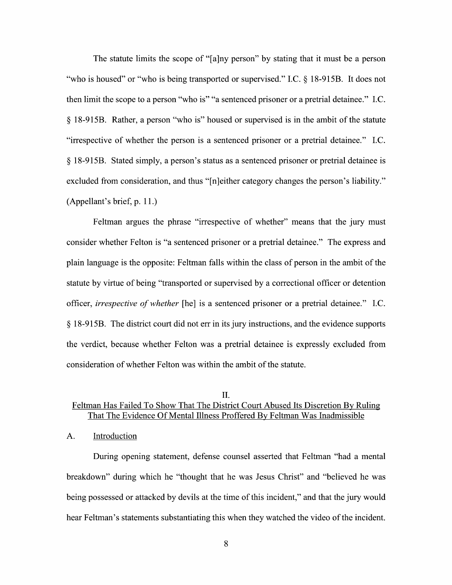The statute limits the scope of "[a]ny person" by stating that it must be a person "who is housed" or "who is being transported or supervised." I.C. § 18-915B. It does not then limit the scope to a person "who is" "a sentenced prisoner or a pretrial detainee." I.C.  $\S$  18-915B. Rather, a person "who is" housed or supervised is in the ambit of the statute "irrespective of whether the person is a sentenced prisoner or a pretrial detainee." I.C.  $\S$  18-915B. Stated simply, a person's status as a sentenced prisoner or pretrial detainee is excluded from consideration, and thus "[n]either category changes the person's liability." (Appellant's brief, p. 11.)

Feltman argues the phrase "irrespective 0f Whether" means that the jury must consider whether Felton is "a sentenced prisoner or a pretrial detainee." The express and plain language is the opposite: Feltman falls Within the class 0f person in the ambit 0f the statute by virtue of being "transported or supervised by a correctional officer or detention officer, *irrespective of whether* [he] is a sentenced prisoner or a pretrial detainee." I.C. 18-915B. The district court did not err in its jury instructions, and the evidence supports the verdict, because Whether Felton was pretrial detainee is expressly excluded from consideration of whether Felton was within the ambit of the statute.

## II. Feltman Has Failed To Show That The District Court Abused Its Discretion By Ruling That The Evidence Of Mental Illness Proffered BV Feltman Was Inadmissible

### A. Introduction

During opening statement, defense counsel asserted that Feltman "had a mental breakdown" during which he "thought that he was Jesus Christ" and "believed he was being possessed or attacked by devils at the time of this incident," and that the jury would hear Feltman's statements substantiating this when they watched the video of the incident.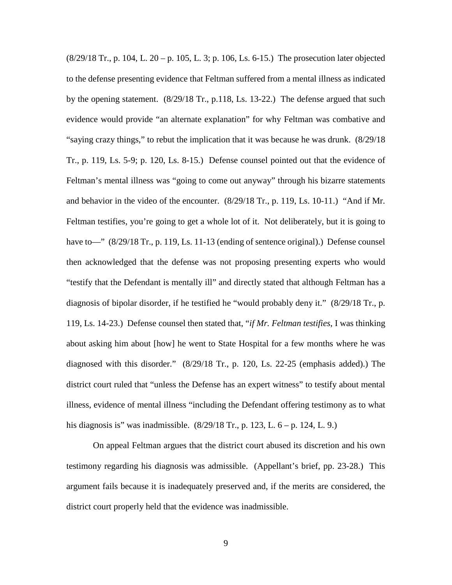(8/29/18 Tr., p. 104, L. 20 – p. 105, L. 3; p. 106, Ls. 6-15.) The prosecution later objected to the defense presenting evidence that Feltman suffered from a mental illness as indicated by the opening statement. (8/29/18 Tr., p.118, Ls. 13-22.) The defense argued that such evidence would provide "an alternate explanation" for why Feltman was combative and "saying crazy things," to rebut the implication that it was because he was drunk. (8/29/18 Tr., p. 119, Ls. 5-9; p. 120, Ls. 8-15.) Defense counsel pointed out that the evidence of Feltman's mental illness was "going to come out anyway" through his bizarre statements and behavior in the video of the encounter. (8/29/18 Tr., p. 119, Ls. 10-11.) "And if Mr. Feltman testifies, you're going to get a whole lot of it. Not deliberately, but it is going to have to—"  $(8/29/18$  Tr., p. 119, Ls. 11-13 (ending of sentence original).) Defense counsel then acknowledged that the defense was not proposing presenting experts who would "testify that the Defendant is mentally ill" and directly stated that although Feltman has a diagnosis of bipolar disorder, if he testified he "would probably deny it." (8/29/18 Tr., p. 119, Ls. 14-23.) Defense counsel then stated that, "*if Mr. Feltman testifies*, I was thinking about asking him about [how] he went to State Hospital for a few months where he was diagnosed with this disorder." (8/29/18 Tr., p. 120, Ls. 22-25 (emphasis added).) The district court ruled that "unless the Defense has an expert witness" to testify about mental illness, evidence of mental illness "including the Defendant offering testimony as to what his diagnosis is" was inadmissible. (8/29/18 Tr., p. 123, L. 6 – p. 124, L. 9.)

On appeal Feltman argues that the district court abused its discretion and his own testimony regarding his diagnosis was admissible. (Appellant's brief, pp. 23-28.) This argument fails because it is inadequately preserved and, if the merits are considered, the district court properly held that the evidence was inadmissible.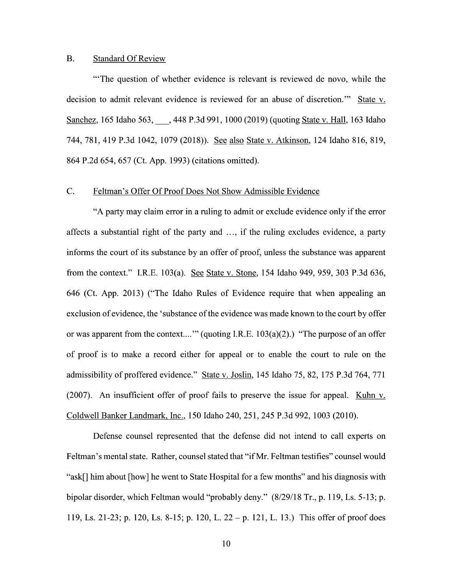#### B. Standard Of Review

"'The question of Whether evidence is relevant is reviewed de novo, while the decision to admit relevant evidence is reviewed for an abuse of discretion." State v. Sanchez, 165 Idaho 563, , 448 P.3d 991, 1000 (2019) (quoting State v. Hall, 163 Idaho 744, 781, 419 P.3d 1042, 1079 (2018)). See also State v. Atkinson, 124 Idaho 816, 819, 864 P.2d 654, 657 (Ct. App. 1993) (citations omitted).

### C. Feltman's Offer Of Proof Does Not Show Admissible Evidence

"A party may claim error in a ruling to admit or exclude evidence only if the error affects a substantial right of the party and  $\ldots$ , if the ruling excludes evidence, a party informs the court 0f its substance by an offer 0f proof, unless the substance was apparent from the context." I.R.E. 103(a). See State v. Stone, 154 Idaho 949, 959, 303 P.3d 636, 646 (Ct. App. 2013) ("The Idaho Rules of Evidence require that when appealing an exclusion 0f evidence, the 'substance 0f the evidence was made known to the court by offer or was apparent from the context...."' (quoting I.R.E.  $103(a)(2)$ .) "The purpose of an offer of proof is to make a record either for appeal or to enable the court to rule on the admissibility of proffered evidence." State v. Joslin, 145 Idaho 75, 82, 175 P.3d 764, 771 (2007). An insufficient offer of proof fails to preserve the issue for appeal. Kuhn v. Coldwell Banker Landmark, Inc., <sup>150</sup> Idaho 240, 251, <sup>245</sup> P.3d 992, <sup>1003</sup> (2010).

Defense counsel represented that the defense did not intend to call experts on Feltman's mental state. Rather, counsel stated that "if Mr. Feltman testifies" counsel would "ask[] him about [how] he went to State Hospital for a few months" and his diagnosis with bipolar disorder, which Feltman would "probably deny."  $(8/29/18$  Tr., p. 119, Ls. 5-13; p. 119, Ls. 21-23; p. 120, Ls. 8-15; p. 120, L. 22 – p. 121, L. 13.) This offer of proof does

10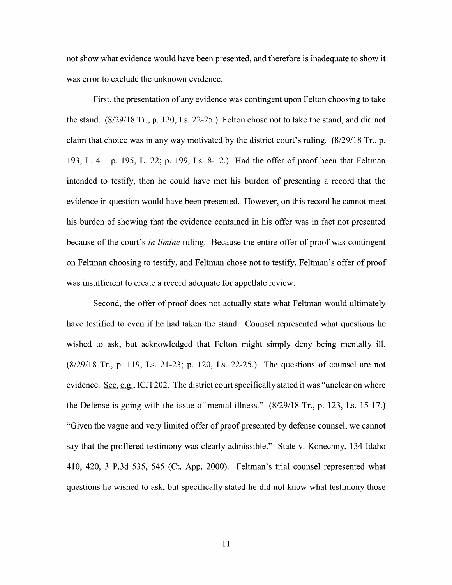not show what evidence would have been presented, and therefore is inadequate to show it was error to exclude the unknown evidence.

First, the presentation of any evidence was contingent upon Felton choosing to take the stand. (8/29/18 Tr., p. 120, Ls. 22-25.) Felton chose not to take the stand, and did not claim that choice was in any way motivated by the district court's ruling. (8/29/18 Tr., p. 193, L.  $4 - p$ . 195, L. 22; p. 199, Ls. 8-12.) Had the offer of proof been that Feltman intended to testify, then he could have met his burden of presenting a record that the evidence in question would have been presented. However, 0n this record he cannot meet his burden 0f showing that the evidence contained in his offer was in fact not presented because of the court's *in limine* ruling. Because the entire offer of proof was contingent 0n Feltman choosing t0 testify, and Feltman chose not to testify, Feltman's offer of proof was insufficient to create a record adequate for appellate review.

Second, the offer of proof does not actually state what Feltman would ultimately have testified to even if he had taken the stand. Counsel represented what questions he wished to ask, but acknowledged that Felton might simply deny being mentally ill. (8/29/18 Tr., p. 119, Ls. 21-23; p. 120, Ls. 22-25.) The questions 0f counsel are not evidence. See, e.g., ICJI 202. The district court specifically stated it was "unclear on where the Defense is going with the issue of mental illness." (8/29/18 Tr., p. 123, Ls. 15-17.) "Given the vague and very limited offer of proof presented by defense counsel, we cannot say that the proffered testimony was clearly admissible." State v. Konechny, 134 Idaho 410, 420, P.3d 535, <sup>545</sup> (Ct. App. 2000). Feltman's trial counsel represented What questions he wished to ask, but specifically stated he did not know what testimony those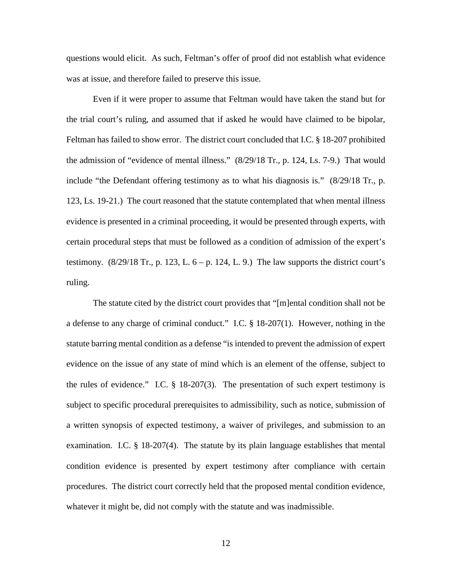questions would elicit. As such, Feltman's offer of proof did not establish what evidence was at issue, and therefore failed to preserve this issue.

Even if it were proper to assume that Feltman would have taken the stand but for the trial court's ruling, and assumed that if asked he would have claimed to be bipolar, Feltman has failed to show error. The district court concluded that I.C. § 18-207 prohibited the admission of "evidence of mental illness." (8/29/18 Tr., p. 124, Ls. 7-9.) That would include "the Defendant offering testimony as to what his diagnosis is." (8/29/18 Tr., p. 123, Ls. 19-21.) The court reasoned that the statute contemplated that when mental illness evidence is presented in a criminal proceeding, it would be presented through experts, with certain procedural steps that must be followed as a condition of admission of the expert's testimony.  $(8/29/18$  Tr., p. 123, L.  $6-p$ . 124, L. 9.) The law supports the district court's ruling.

The statute cited by the district court provides that "[m]ental condition shall not be a defense to any charge of criminal conduct." I.C. § 18-207(1). However, nothing in the statute barring mental condition as a defense "is intended to prevent the admission of expert evidence on the issue of any state of mind which is an element of the offense, subject to the rules of evidence." I.C. § 18-207(3). The presentation of such expert testimony is subject to specific procedural prerequisites to admissibility, such as notice, submission of a written synopsis of expected testimony, a waiver of privileges, and submission to an examination. I.C.  $\S$  18-207(4). The statute by its plain language establishes that mental condition evidence is presented by expert testimony after compliance with certain procedures. The district court correctly held that the proposed mental condition evidence, whatever it might be, did not comply with the statute and was inadmissible.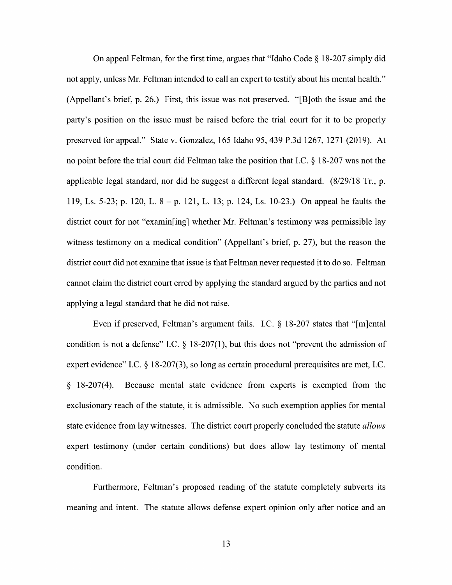On appeal Feltman, for the first time, argues that "Idaho Code  $\S$  18-207 simply did not apply, unless Mr. Feltman intended to call an expert to testify about his mental health." (Appellant's brief, p. 26.) First, this issue was not preserved. "[B]0th the issue and the party's position on the issue must be raised before the trial court for it to be properly preserved for appeal." State V. Gonzalez, 165 Idaho 95, 439 P.3d 1267, 1271 (2019). At no point before the trial court did Feltman take the position that I.C.  $\S$  18-207 was not the applicable legal standard, nor did he suggest a different legal standard. (8/29/18 Tr., p. 119, Ls. 5-23; p. 120, L. 8 – p. 121, L. 13; p. 124, Ls. 10-23.) On appeal he faults the district court for not "examin[ing] Whether Mr. Feltman's testimony was permissible lay witness testimony on a medical condition" (Appellant's brief, p. 27), but the reason the district court did not examine that issue is that Feltman never requested it to do so. Feltman cannot claim the district court erred by applying the standard argued by the parties and not applying a legal standard that he did not raise.

Even if preserved, Feltman's argument fails. I.C.  $\S$  18-207 states that "[m]ental condition is not a defense" I.C.  $\S$  18-207(1), but this does not "prevent the admission of expert evidence" I.C.  $\S$  18-207(3), so long as certain procedural prerequisites are met, I.C. 18-207(4). Because mental state evidence from experts is exempted from the exclusionary reach 0f the statute, it is admissible. No such exemption applies for mental state evidence from lay witnesses. The district court properly concluded the statute allows expert testimony (under certain conditions) but does allow lay testimony of mental condition.

Furthermore, Feltman's proposed reading 0f the statute completely subverts its meaning and intent. The statute allows defense expert opinion only after notice and an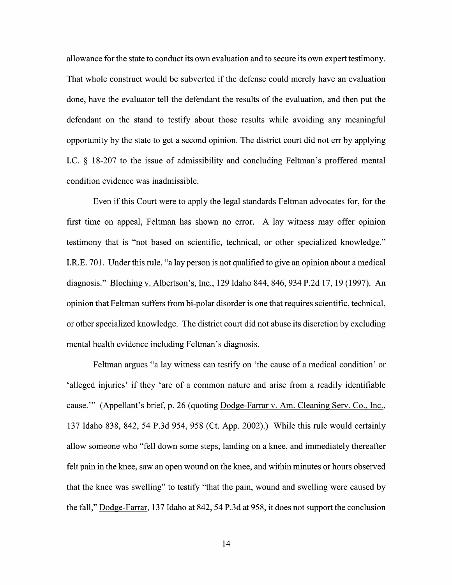allowance for the state to conduct its own evaluation and to secure its own expert testimony. That Whole construct would be subverted if the defense could merely have an evaluation done, have the evaluator tell the defendant the results of the evaluation, and then put the defendant 0n the stand to testify about those results while avoiding any meaningful opportunity by the state t0 get second opinion. The district court did not err by applying I.C.  $\S$  18-207 to the issue of admissibility and concluding Feltman's proffered mental condition evidence was inadmissible.

Even if this Court were to apply the legal standards Feltman advocates for, for the first time on appeal, Feltman has shown no error. A lay witness may offer opinion testimony that is "not based 0n scientific, technical, or other specialized knowledge." I.R.E. 701. Under this rule, "a lay person is not qualified to give an opinion about a medical diagnosis." Bloching V. Albertson's, Inc., 129 Idaho 844, 846, 934 P.2d 17, <sup>19</sup> (1997). An opinion that Feltman suffers from bi-polar disorder is one that requires scientific, technical, 0r other specialized knowledge. The district court did not abuse its discretion by excluding mental health evidence including Feltman's diagnosis.

Feltman argues "a lay witness can testify on 'the cause of a medical condition' or 'alleged injuries' if they 'are of a common nature and arise from a readily identifiable cause."" (Appellant's brief, p. 26 (quoting Dodge-Farrar v. Am. Cleaning Serv. Co., Inc., 137 Idaho 838, 842, 54 P.3d 954, 958 (Ct. App. 2002).) While this rule would certainly allow someone Who "fell down some steps, landing on knee, and immediately thereafter felt pain in the knee, saw an open wound 0n the knee, and Within minutes 0r hours observed that the knee was swelling" to testify "that the pain, wound and swelling were caused by the fall," Dodge-Farrar, 137 Idaho at 842, 54 P.3d at 958, it does not support the conclusion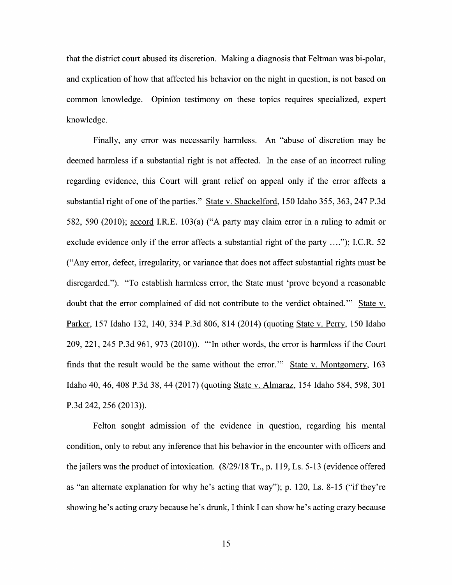that the district court abused its discretion. Making a diagnosis that Feltman was bi-polar, and explication of how that affected his behavior on the night in question, is not based on common knowledge. Opinion testimony 0n these topics requires specialized, expert knowledge.

Finally, any error was necessarily harmless. An "abuse of discretion may be deemed harmless if a substantial right is not affected. In the case of an incorrect ruling regarding evidence, this Court will grant relief on appeal only if the error affects a substantial right of one of the parties." State v. Shackelford, 150 Idaho 355, 363, 247 P.3d 582, 590 (2010); accord I.R.E. 103(a) ("A party may claim error in a ruling to admit or exclude evidence only if the error affects a substantial right of the party  $\dots$ "); I.C.R. 52 ("Any error, defect, irregularity, or variance that does not affect substantial rights must be disregarded."). "To establish harmless error, the State must 'prove beyond a reasonable doubt that the error complained of did not contribute to the verdict obtained." State v. Parker, 157 Idaho 132, 140, 334 P.3d 806, 814 (2014) (quoting State v. Perry, 150 Idaho 209, 221, 245 P.3d 961, 973 (2010)). "'In other words, the error is harmless if the Court finds that the result would be the same without the error."" State v. Montgomery, 163 Idaho 40, 46, <sup>408</sup> P.3d 38, <sup>44</sup> (2017) (quoting State V. Almaraz, <sup>154</sup> Idaho 584, 598, <sup>301</sup> P.3d 242, 256 (2013)).

Felton sought admission 0f the evidence in question, regarding his mental condition, only to rebut any inference that his behavior in the encounter With officers and the jailers was the product of intoxication.  $(8/29/18 \text{ Tr}$ , p. 119, Ls. 5-13 (evidence offered as "an alternate explanation for why he's acting that way"); p. 120, Ls. 8-15 ("if they're showing he's acting crazy because he's drunk, I think I can show he's acting crazy because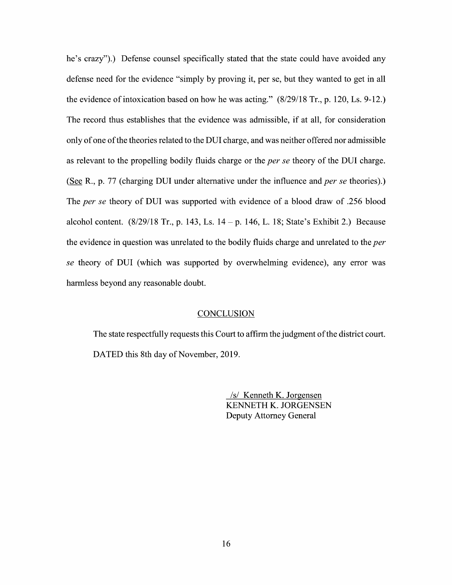he's crazy").) Defense counsel specifically stated that the state could have avoided any defense need for the evidence "simply by proving it, per se, but they wanted to get in all the evidence of intoxication based on how he was acting."  $(8/29/18 \text{ Tr}, p. 120, Ls. 9-12.)$ The record thus establishes that the evidence was admissible, if at all, for consideration only of one of the theories related to the DUI charge, and was neither offered nor admissible as relevant to the propelling bodily fluids charge or the *per se* theory of the DUI charge. (See R., p. 77 (charging DUI under alternative under the influence and *per se* theories).) The per se theory of DUI was supported with evidence of a blood draw of .256 blood alcohol content.  $(8/29/18 \text{ Tr.}, p. 143, Ls. 14 - p. 146, L. 18; State's Exhibit 2.) Because$ the evidence in question was unrelated to the bodily fluids charge and unrelated to the *per* se theory of DUI (which was supported by overwhelming evidence), any error was harmless beyond any reasonable doubt.

#### **CONCLUSION**

The state respectfully requests this Court to affirm the judgment of the district court. DATED this 8th day of November, 2019.

> /s/ Kenneth K. Jorgensen KENNETH K. JORGENSEN Deputy Attorney General